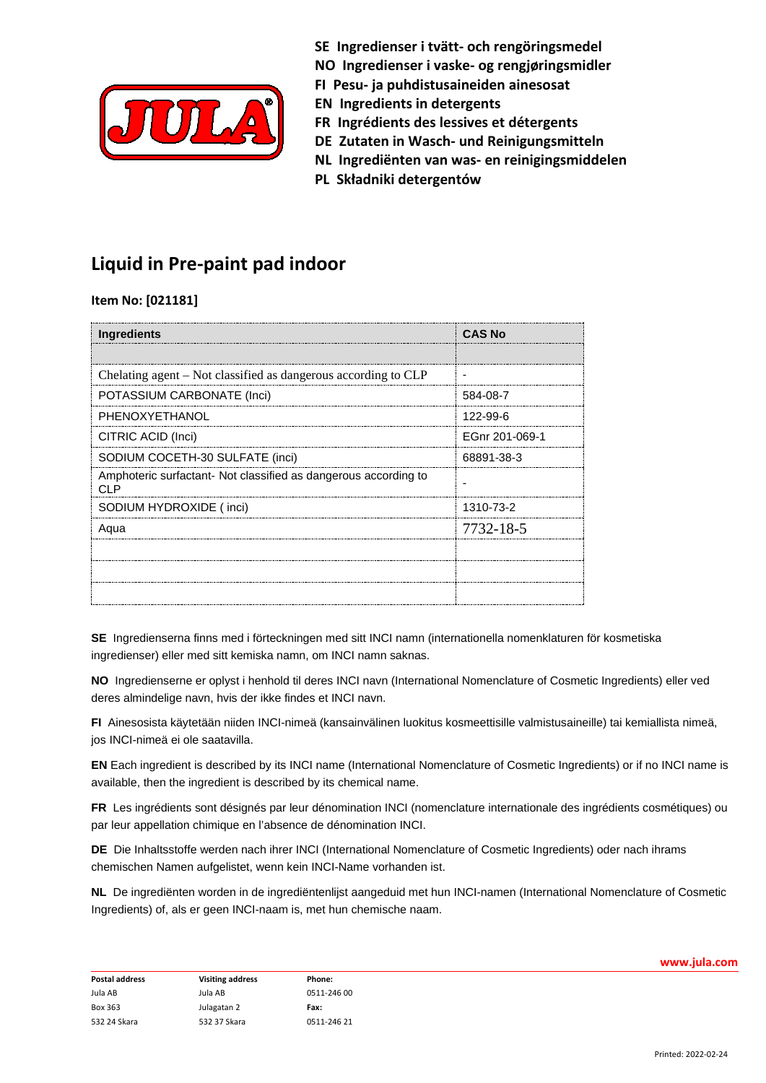

**SE Ingredienser i tvätt- och rengöringsmedel NO Ingredienser i vaske- og rengjøringsmidler FI Pesu- ja puhdistusaineiden ainesosat**

- **EN Ingredients in detergents**
- **FR Ingrédients des lessives et détergents**
- **DE Zutaten in Wasch- und Reinigungsmitteln**
- **NL Ingrediënten van was- en reinigingsmiddelen**
- **PL Składniki detergentów**

## **Liquid in Pre-paint pad indoor**

**Item No: [021181]**

| Ingredients                                                            | <b>CAS No</b>  |
|------------------------------------------------------------------------|----------------|
|                                                                        |                |
| Chelating agent - Not classified as dangerous according to CLP         | ٠              |
| POTASSIUM CARBONATE (Inci)                                             | 584-08-7       |
| PHENOXYETHANOL                                                         | 122-99-6       |
| CITRIC ACID (Inci)                                                     | EGnr 201-069-1 |
| SODIUM COCETH-30 SULFATE (inci)                                        | 68891-38-3     |
| Amphoteric surfactant- Not classified as dangerous according to<br>CLP |                |
| SODIUM HYDROXIDE (inci)                                                | 1310-73-2      |
| Agua                                                                   | 7732-18-5      |
|                                                                        |                |
|                                                                        |                |
|                                                                        |                |

**SE** Ingredienserna finns med i förteckningen med sitt INCI namn (internationella nomenklaturen för kosmetiska ingredienser) eller med sitt kemiska namn, om INCI namn saknas.

**NO** Ingredienserne er oplyst i henhold til deres INCI navn (International Nomenclature of Cosmetic Ingredients) eller ved deres almindelige navn, hvis der ikke findes et INCI navn.

**FI** Ainesosista käytetään niiden INCI-nimeä (kansainvälinen luokitus kosmeettisille valmistusaineille) tai kemiallista nimeä, jos INCI-nimeä ei ole saatavilla.

**EN** Each ingredient is described by its INCI name (International Nomenclature of Cosmetic Ingredients) or if no INCI name is available, then the ingredient is described by its chemical name.

**FR** Les ingrédients sont désignés par leur dénomination INCI (nomenclature internationale des ingrédients cosmétiques) ou par leur appellation chimique en l'absence de dénomination INCI.

**DE** Die Inhaltsstoffe werden nach ihrer INCI (International Nomenclature of Cosmetic Ingredients) oder nach ihrams chemischen Namen aufgelistet, wenn kein INCI-Name vorhanden ist.

**NL** De ingrediënten worden in de ingrediëntenlijst aangeduid met hun INCI-namen (International Nomenclature of Cosmetic Ingredients) of, als er geen INCI-naam is, met hun chemische naam.

| <b>Postal address</b> | <b>Visiting address</b> | Phone:      |
|-----------------------|-------------------------|-------------|
| Jula AB               | Jula AB                 | 0511-246 00 |
| Box 363               | Julagatan 2             | Fax:        |
| 532 24 Skara          | 532 37 Skara            | 0511-246 21 |

**www.jula.com**